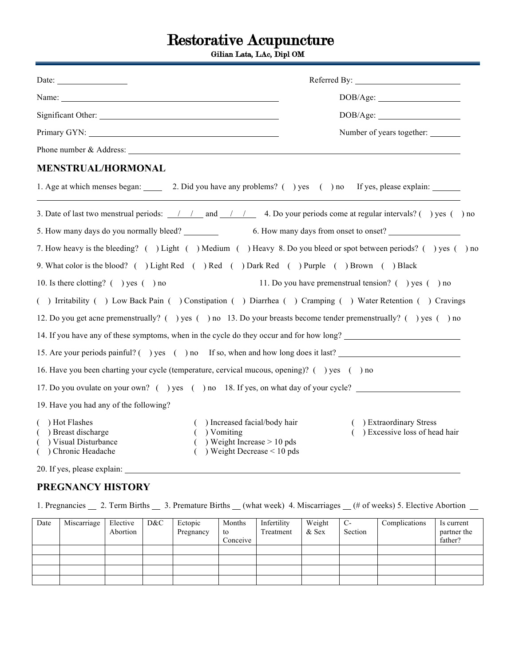# Restorative Acupuncture

Gilian Lata, LAc, Dipl OM

| Name:                                                                                                                                                                                                                                | DOB/Age:                                                     |
|--------------------------------------------------------------------------------------------------------------------------------------------------------------------------------------------------------------------------------------|--------------------------------------------------------------|
|                                                                                                                                                                                                                                      |                                                              |
|                                                                                                                                                                                                                                      | DOB/Age:                                                     |
| Primary GYN: North Contract of the Contract of the Contract of the Contract of the Contract of the Contract of the Contract of the Contract of the Contract of the Contract of the Contract of the Contract of the Contract of       | Number of years together:                                    |
|                                                                                                                                                                                                                                      |                                                              |
| <b>MENSTRUAL/HORMONAL</b>                                                                                                                                                                                                            |                                                              |
| 1. Age at which menses began: 2. Did you have any problems? () yes () no If yes, please explain:                                                                                                                                     |                                                              |
| 3. Date of last two menstrual periods: $\frac{1}{1}$ and $\frac{1}{1}$ 4. Do your periods come at regular intervals? () yes () no                                                                                                    |                                                              |
| 5. How many days do you normally bleed? 6. How many days from onset to onset?                                                                                                                                                        |                                                              |
| 7. How heavy is the bleeding? () Light () Medium () Heavy 8. Do you bleed or spot between periods? () yes () no                                                                                                                      |                                                              |
| 9. What color is the blood? ( ) Light Red ( ) Red ( ) Dark Red ( ) Purple ( ) Brown ( ) Black                                                                                                                                        |                                                              |
| 10. Is there clotting? $($ $)$ yes $($ $)$ no                                                                                                                                                                                        | 11. Do you have premenstrual tension? $($ $)$ yes $($ $)$ no |
| () Irritability () Low Back Pain () Constipation () Diarrhea () Cramping () Water Retention () Cravings                                                                                                                              |                                                              |
| 12. Do you get acne premenstrually? () yes () no 13. Do your breasts become tender premenstrually? () yes () no                                                                                                                      |                                                              |
| 14. If you have any of these symptoms, when in the cycle do they occur and for how long?                                                                                                                                             |                                                              |
| 15. Are your periods painful? () yes () no If so, when and how long does it last?                                                                                                                                                    |                                                              |
| 16. Have you been charting your cycle (temperature, cervical mucous, opening)? () yes () no                                                                                                                                          |                                                              |
| 17. Do you ovulate on your own? () yes () no 18. If yes, on what day of your cycle?                                                                                                                                                  |                                                              |
| 19. Have you had any of the following?                                                                                                                                                                                               |                                                              |
| Hot Flashes<br>() Increased facial/body hair<br>) Breast discharge<br>$( )$ Vomiting<br>$($ ) Weight Increase > 10 pds<br>) Visual Disturbance<br>) Weight Decrease $\leq 10$ pds<br>Chronic Headache<br>20. If yes, please explain: | ) Extraordinary Stress<br>) Excessive loss of head hair      |

### **PREGNANCY HISTORY**

1. Pregnancies 2. Term Births 3. Premature Births (what week) 4. Miscarriages (# of weeks) 5. Elective Abortion

| Date | Miscarriage | Elective<br>Abortion | D&C | Ectopic<br>Pregnancy | Months<br>to<br>Conceive | Infertility<br>Treatment | Weight<br>& Sex | $C-$<br>Section | Complications | Is current<br>partner the<br>father? |
|------|-------------|----------------------|-----|----------------------|--------------------------|--------------------------|-----------------|-----------------|---------------|--------------------------------------|
|      |             |                      |     |                      |                          |                          |                 |                 |               |                                      |
|      |             |                      |     |                      |                          |                          |                 |                 |               |                                      |
|      |             |                      |     |                      |                          |                          |                 |                 |               |                                      |
|      |             |                      |     |                      |                          |                          |                 |                 |               |                                      |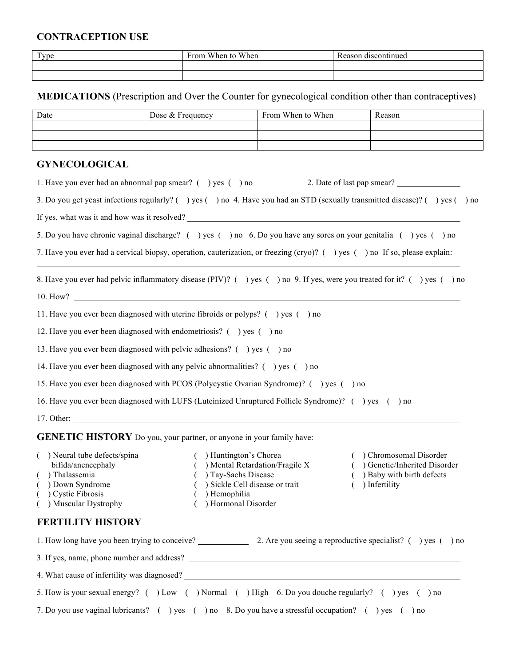### **CONTRACEPTION USE**

| Type | From When to When | Reason discontinued |
|------|-------------------|---------------------|
|      |                   |                     |
|      |                   |                     |

**MEDICATIONS** (Prescription and Over the Counter for gynecological condition other than contraceptives)

| Date | Dose $&$ Frequency | From When to When | Reason |
|------|--------------------|-------------------|--------|
|      |                    |                   |        |
|      |                    |                   |        |
|      |                    |                   |        |

## **GYNECOLOGICAL**

| 1. Have you ever had an abnormal pap smear? $($ $)$ yes $($ $)$ no                                                                                           |                                                                                                                                                                   | 2. Date of last pap smear?                                                                                     |  |  |  |  |
|--------------------------------------------------------------------------------------------------------------------------------------------------------------|-------------------------------------------------------------------------------------------------------------------------------------------------------------------|----------------------------------------------------------------------------------------------------------------|--|--|--|--|
| 3. Do you get yeast infections regularly? () yes () no 4. Have you had an STD (sexually transmitted disease)? () yes () no                                   |                                                                                                                                                                   |                                                                                                                |  |  |  |  |
|                                                                                                                                                              | If yes, what was it and how was it resolved?                                                                                                                      |                                                                                                                |  |  |  |  |
|                                                                                                                                                              | 5. Do you have chronic vaginal discharge? () yes () no 6. Do you have any sores on your genitalia () yes () no                                                    |                                                                                                                |  |  |  |  |
| 7. Have you ever had a cervical biopsy, operation, cauterization, or freezing (cryo)? () yes () no If so, please explain:                                    |                                                                                                                                                                   |                                                                                                                |  |  |  |  |
|                                                                                                                                                              | 8. Have you ever had pelvic inflammatory disease (PIV)? () yes () no 9. If yes, were you treated for it? () yes () no                                             |                                                                                                                |  |  |  |  |
|                                                                                                                                                              |                                                                                                                                                                   |                                                                                                                |  |  |  |  |
|                                                                                                                                                              | 11. Have you ever been diagnosed with uterine fibroids or polyps? $($ ) yes $($ ) no                                                                              |                                                                                                                |  |  |  |  |
| 12. Have you ever been diagnosed with endometriosis? () yes () no                                                                                            |                                                                                                                                                                   |                                                                                                                |  |  |  |  |
| 13. Have you ever been diagnosed with pelvic adhesions? () yes () no                                                                                         |                                                                                                                                                                   |                                                                                                                |  |  |  |  |
|                                                                                                                                                              | 14. Have you ever been diagnosed with any pelvic abnormalities? () yes () no                                                                                      |                                                                                                                |  |  |  |  |
|                                                                                                                                                              | 15. Have you ever been diagnosed with PCOS (Polycystic Ovarian Syndrome)? () yes () no                                                                            |                                                                                                                |  |  |  |  |
|                                                                                                                                                              | 16. Have you ever been diagnosed with LUFS (Luteinized Unruptured Follicle Syndrome)? () yes () no                                                                |                                                                                                                |  |  |  |  |
|                                                                                                                                                              | $17.$ Other:                                                                                                                                                      |                                                                                                                |  |  |  |  |
| <b>GENETIC HISTORY</b> Do you, your partner, or anyone in your family have:                                                                                  |                                                                                                                                                                   |                                                                                                                |  |  |  |  |
| ) Neural tube defects/spina<br>bifida/anencephaly<br>) Thalassemia<br>€<br>) Down Syndrome<br>(<br>Cystic Fibrosis<br>$\overline{(}$<br>) Muscular Dystrophy | ( ) Huntington's Chorea<br>$( )$ Mental Retardation/Fragile X<br>( ) Tay-Sachs Disease<br>( ) Sickle Cell disease or trait<br>) Hemophilia<br>) Hormonal Disorder | ( ) Chromosomal Disorder<br>( ) Genetic/Inherited Disorder<br>( ) Baby with birth defects<br>$( )$ Infertility |  |  |  |  |
| <b>FERTILITY HISTORY</b>                                                                                                                                     |                                                                                                                                                                   |                                                                                                                |  |  |  |  |
|                                                                                                                                                              | 1. How long have you been trying to conceive? 2. Are you seeing a reproductive specialist? () yes () no                                                           |                                                                                                                |  |  |  |  |
|                                                                                                                                                              |                                                                                                                                                                   |                                                                                                                |  |  |  |  |
|                                                                                                                                                              |                                                                                                                                                                   |                                                                                                                |  |  |  |  |
|                                                                                                                                                              | 5. How is your sexual energy? ( ) Low ( ) Normal ( ) High 6. Do you douche regularly? ( ) yes ( ) no                                                              |                                                                                                                |  |  |  |  |
|                                                                                                                                                              | 7. Do you use vaginal lubricants? () yes () no 8. Do you have a stressful occupation? () yes () no                                                                |                                                                                                                |  |  |  |  |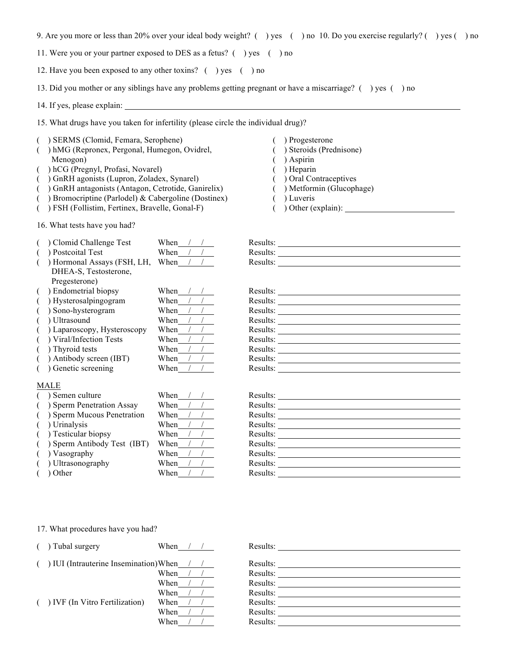9. Are you more or less than 20% over your ideal body weight? ( ) yes ( ) no 10. Do you exercise regularly? ( ) yes ( ) no

11. Were you or your partner exposed to DES as a fetus? ( ) yes ( ) no

12. Have you been exposed to any other toxins? ( ) yes ( ) no

13. Did you mother or any siblings have any problems getting pregnant or have a miscarriage? ( ) yes ( ) no

14. If yes, please explain:

15. What drugs have you taken for infertility (please circle the individual drug)?

- ( ) SERMS (Clomid, Femara, Serophene)
- ( ) hMG (Repronex, Pergonal, Humegon, Ovidrel, Menogon)
- ( ) hCG (Pregnyl, Profasi, Novarel)
- ( ) GnRH agonists (Lupron, Zoladex, Synarel)
- ( ) GnRH antagonists (Antagon, Cetrotide, Ganirelix)
- ( ) Bromocriptine (Parlodel) & Cabergoline (Dostinex)
- ( ) FSH (Follistim, Fertinex, Bravelle, Gonal-F)

16. What tests have you had?

- ( ) Clomid Challenge Test When /
- $( )$  Postcoital Test When /
- $($  ) Hormonal Assays (FSH, LH, When / DHEA-S, Testosterone, Pregesterone)
- $( )$  Endometrial biopsy When /
- ( ) Hysterosalpingogram When /
- ( ) Sono-hysterogram When
- ( ) Ultrasound When
- ( ) Laparoscopy, Hysteroscopy When
- $($  ) Viral/Infection Tests When /
- ( ) Thyroid tests When /
- ( ) Antibody screen (IBT) When  $/$  /  $\sqrt{(}$  ) Genetic screening When  $/$  /
- $($ ) Genetic screening

#### MALE

- ( ) Semen culture When  $/$  / F
- 
- 
- 
- 
- 
- 
- 
- ( ) Other When  $/$  / Results:  $\mathbb{R}^n$
- ( ) Sperm Penetration Assay When  $\frac{1}{2}$  Results:  $( )$  Sperm Mucous Penetration When / / F  $(V)$  Urinalysis When  $/$  / Results: ( ) Testicular biopsy When  $/ /$  F<br>( ) Sperm Antibody Test (IBT) When  $/ /$  F ( ) Sperm Antibody Test (IBT) When  $/ /$ ( ) Vasography When / / Results: N ( ) Ultrasonography When / / Results: Results: Results: Results: Results: Results: Results: Results: Results: R
- 
- ( ) Progesterone
- ( ) Steroids (Prednisone)
- ( ) Aspirin
- ( ) Heparin
- ( ) Oral Contraceptives
- ( ) Metformin (Glucophage)
- ( ) Luveris
- ( ) Other (explain):

| Results: |  |
|----------|--|
| Results: |  |
| Results: |  |

| Results: |  |
|----------|--|
| Results: |  |
| Results: |  |
| Results: |  |
| Results: |  |
| Results: |  |
| Results: |  |
| Results: |  |
| Results: |  |

| Results:                                                    |
|-------------------------------------------------------------|
| Results: $\frac{1}{\sqrt{1-\frac{1}{2}} \cdot \frac{1}{2}}$ |
|                                                             |
|                                                             |
| Results:                                                    |
| Results: $\frac{1}{\sqrt{1-\frac{1}{2}} \cdot \frac{1}{2}}$ |
|                                                             |
|                                                             |
|                                                             |
|                                                             |

17. What procedures have you had?

| Tubal surgery                        | When |  | Results: |
|--------------------------------------|------|--|----------|
|                                      |      |  |          |
| IUI (Intrauterine Insemination) When |      |  | Results: |
|                                      | When |  | Results: |
|                                      | When |  | Results: |
|                                      | When |  | Results: |
| ) IVF (In Vitro Fertilization)       | When |  | Results: |
|                                      | When |  | Results: |
|                                      | When |  | Results: |